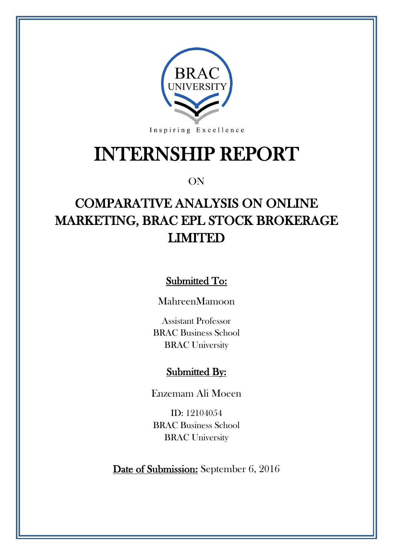

# INTERNSHIP REPORT

### ON

# COMPARATIVE ANALYSIS ON ONLINE MARKETING, BRAC EPL STOCK BROKERAGE LIMITED

Submitted To:

MahreenMamoon

Assistant Professor BRAC Business School BRAC University

### Submitted By:

Enzemam Ali Moeen

ID: 12104054 BRAC Business School BRAC University

Date of Submission: September 6, 2016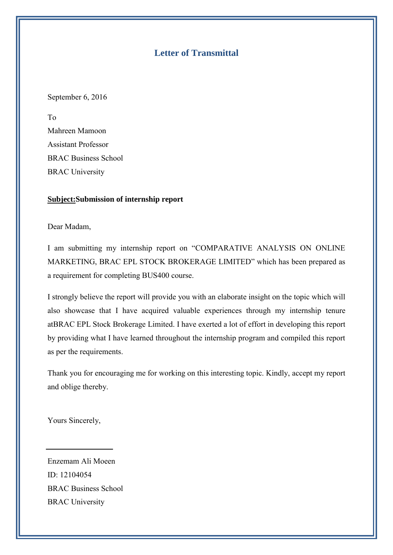#### **Letter of Transmittal**

September 6, 2016

To Mahreen Mamoon Assistant Professor BRAC Business School BRAC University

#### **Subject:Submission of internship report**

Dear Madam,

I am submitting my internship report on "COMPARATIVE ANALYSIS ON ONLINE MARKETING, BRAC EPL STOCK BROKERAGE LIMITED" which has been prepared as a requirement for completing BUS400 course.

I strongly believe the report will provide you with an elaborate insight on the topic which will also showcase that I have acquired valuable experiences through my internship tenure atBRAC EPL Stock Brokerage Limited. I have exerted a lot of effort in developing this report by providing what I have learned throughout the internship program and compiled this report as per the requirements.

Thank you for encouraging me for working on this interesting topic. Kindly, accept my report and oblige thereby.

Yours Sincerely,

Enzemam Ali Moeen ID: 12104054 BRAC Business School BRAC University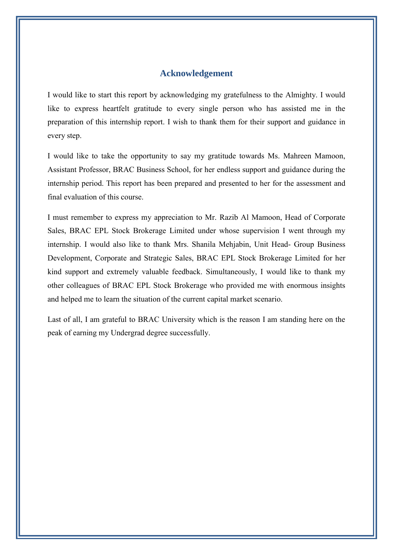#### **Acknowledgement**

I would like to start this report by acknowledging my gratefulness to the Almighty. I would like to express heartfelt gratitude to every single person who has assisted me in the preparation of this internship report. I wish to thank them for their support and guidance in every step.

I would like to take the opportunity to say my gratitude towards Ms. Mahreen Mamoon, Assistant Professor, BRAC Business School, for her endless support and guidance during the internship period. This report has been prepared and presented to her for the assessment and final evaluation of this course.

I must remember to express my appreciation to Mr. Razib Al Mamoon, Head of Corporate Sales, BRAC EPL Stock Brokerage Limited under whose supervision I went through my internship. I would also like to thank Mrs. Shanila Mehjabin, Unit Head- Group Business Development, Corporate and Strategic Sales, BRAC EPL Stock Brokerage Limited for her kind support and extremely valuable feedback. Simultaneously, I would like to thank my other colleagues of BRAC EPL Stock Brokerage who provided me with enormous insights and helped me to learn the situation of the current capital market scenario.

Last of all, I am grateful to BRAC University which is the reason I am standing here on the peak of earning my Undergrad degree successfully.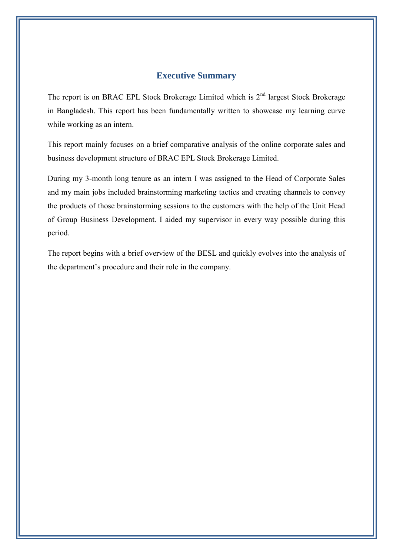#### **Executive Summary**

The report is on BRAC EPL Stock Brokerage Limited which is  $2<sup>nd</sup>$  largest Stock Brokerage in Bangladesh. This report has been fundamentally written to showcase my learning curve while working as an intern.

This report mainly focuses on a brief comparative analysis of the online corporate sales and business development structure of BRAC EPL Stock Brokerage Limited.

During my 3-month long tenure as an intern I was assigned to the Head of Corporate Sales and my main jobs included brainstorming marketing tactics and creating channels to convey the products of those brainstorming sessions to the customers with the help of the Unit Head of Group Business Development. I aided my supervisor in every way possible during this period.

The report begins with a brief overview of the BESL and quickly evolves into the analysis of the department's procedure and their role in the company.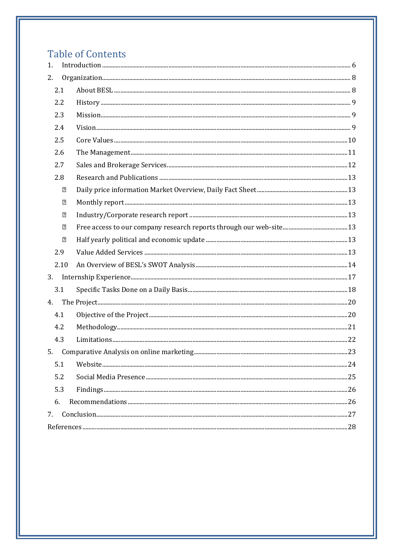# **Table of Contents**

| 1.   |                | Introduction 6 |  |
|------|----------------|----------------|--|
| 2.   |                |                |  |
| 2.1  |                |                |  |
| 2.2  |                |                |  |
| 2.3  |                |                |  |
| 2.4  |                |                |  |
| 2.5  |                |                |  |
| 2.6  |                |                |  |
| 2.7  |                |                |  |
| 2.8  |                |                |  |
|      | "              |                |  |
|      | $\overline{2}$ |                |  |
|      | $\boxed{2}$    |                |  |
|      | 2              |                |  |
|      | $\overline{2}$ |                |  |
| 2.9  |                |                |  |
| 2.10 |                |                |  |
| 3.   |                |                |  |
| 3.1  |                |                |  |
| 4.   |                |                |  |
| 4.1  |                |                |  |
| 4.2  |                |                |  |
| 4.3  |                |                |  |
| 5.   |                |                |  |
| 5.1  |                |                |  |
| 5.2  |                |                |  |
| 5.3  |                |                |  |
| 6.   |                |                |  |
| 7.   |                |                |  |
|      |                |                |  |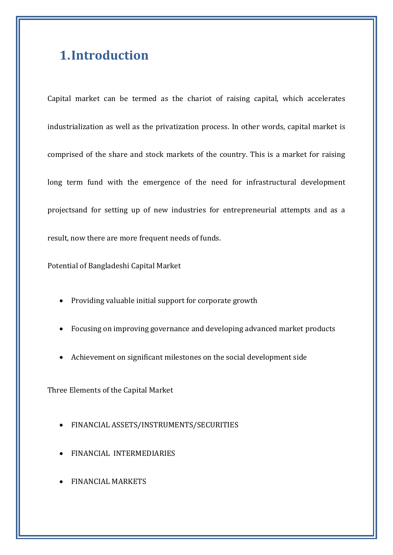## **1.Introduction**

Capital market can be termed as the chariot of raising capital, which accelerates industrialization as well as the privatization process. In other words, capital market is comprised of the share and stock markets of the country. This is a market for raising long term fund with the emergence of the need for infrastructural development projectsand for setting up of new industries for entrepreneurial attempts and as a result, now there are more frequent needs of funds.

Potential of Bangladeshi Capital Market

- Providing valuable initial support for corporate growth
- Focusing on improving governance and developing advanced market products
- Achievement on significant milestones on the social development side

Three Elements of the Capital Market

- FINANCIAL ASSETS/INSTRUMENTS/SECURITIES
- FINANCIAL INTERMEDIARIES
- FINANCIAL MARKETS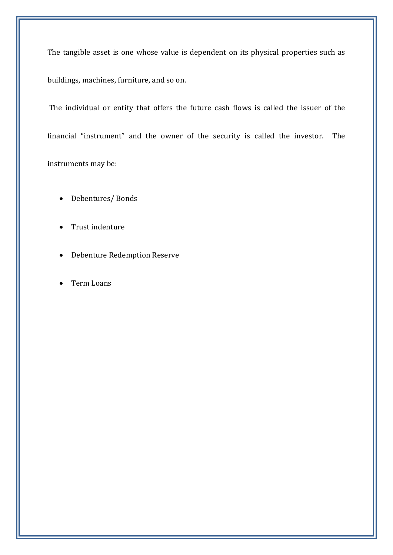The tangible asset is one whose value is dependent on its physical properties such as buildings, machines, furniture, and so on.

The individual or entity that offers the future cash flows is called the issuer of the financial "instrument" and the owner of the security is called the investor. The instruments may be:

- Debentures/ Bonds
- Trust indenture
- Debenture Redemption Reserve
- Term Loans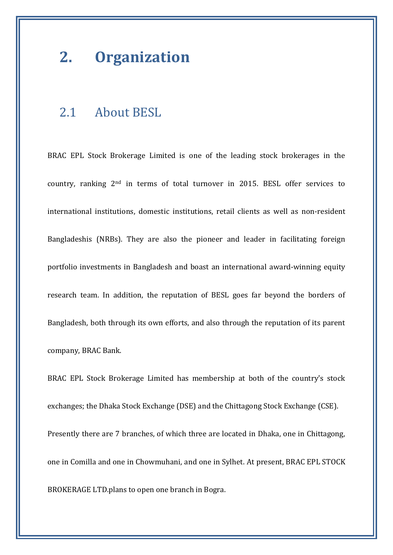# **2. Organization**

### 2.1 About BESL

BRAC EPL Stock Brokerage Limited is one of the leading stock brokerages in the country, ranking 2nd in terms of total turnover in 2015. BESL offer services to international institutions, domestic institutions, retail clients as well as non-resident Bangladeshis (NRBs). They are also the pioneer and leader in facilitating foreign portfolio investments in Bangladesh and boast an international award-winning equity research team. In addition, the reputation of BESL goes far beyond the borders of Bangladesh, both through its own efforts, and also through the reputation of its parent company, BRAC Bank.

BRAC EPL Stock Brokerage Limited has membership at both of the country's stock exchanges; the Dhaka Stock Exchange (DSE) and the Chittagong Stock Exchange (CSE). Presently there are 7 branches, of which three are located in Dhaka, one in Chittagong, one in Comilla and one in Chowmuhani, and one in Sylhet. At present, BRAC EPL STOCK BROKERAGE LTD.plans to open one branch in Bogra.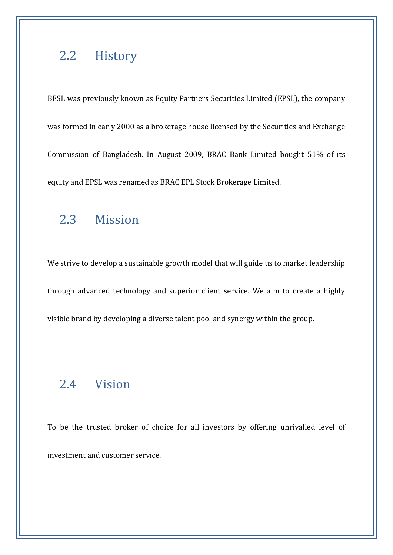### 2.2 History

BESL was previously known as Equity Partners Securities Limited (EPSL), the company was formed in early 2000 as a brokerage house licensed by the Securities and Exchange Commission of Bangladesh. In August 2009, BRAC Bank Limited bought 51% of its equity and EPSL was renamed as BRAC EPL Stock Brokerage Limited.

# 2.3 Mission

We strive to develop a sustainable growth model that will guide us to market leadership through advanced technology and superior client service. We aim to create a highly visible brand by developing a diverse talent pool and synergy within the group.

### 2.4 Vision

To be the trusted broker of choice for all investors by offering unrivalled level of investment and customer service.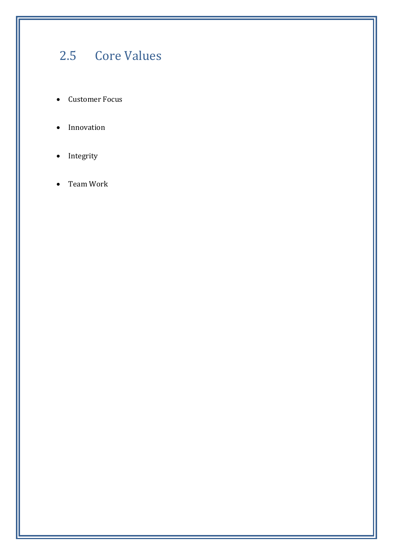# 2.5 Core Values

- Customer Focus
- Innovation
- Integrity
- Team Work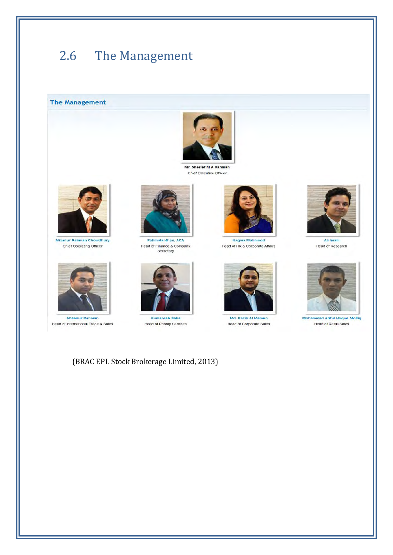# 2.6 The Management

**The Management** 



Mr. Sherief M A Rahman Chief Executive Officer



Mizanur Rahman Chowdhury Chief Operating Officer



Ahsanur Rahman Head of International Trade & Sales



Fahmida Khan, ACA Head of Finance & Company Secretary



Kumaresh Saha Head of Priority Services



Nagma Mahmood Head of HR & Corporate Affairs



Md. Razib Al Mamun Head of Corporate Sales



Ali Imam Head of Research



**Mohammad Ariful Hoque Molliq** Head of Retail Sales

(BRAC EPL Stock Brokerage Limited, 2013)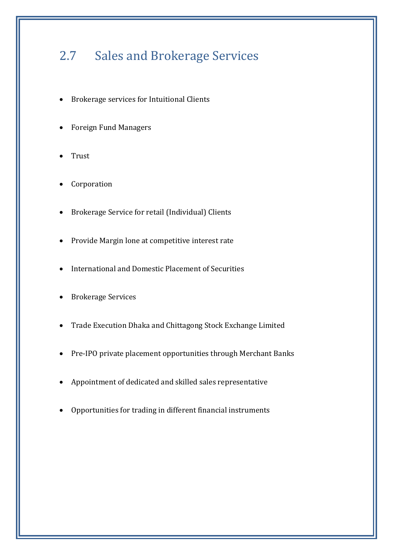# 2.7 Sales and Brokerage Services

- Brokerage services for Intuitional Clients
- Foreign Fund Managers
- Trust
- Corporation
- Brokerage Service for retail (Individual) Clients
- Provide Margin lone at competitive interest rate
- International and Domestic Placement of Securities
- Brokerage Services
- Trade Execution Dhaka and Chittagong Stock Exchange Limited
- Pre-IPO private placement opportunities through Merchant Banks
- Appointment of dedicated and skilled sales representative
- Opportunities for trading in different financial instruments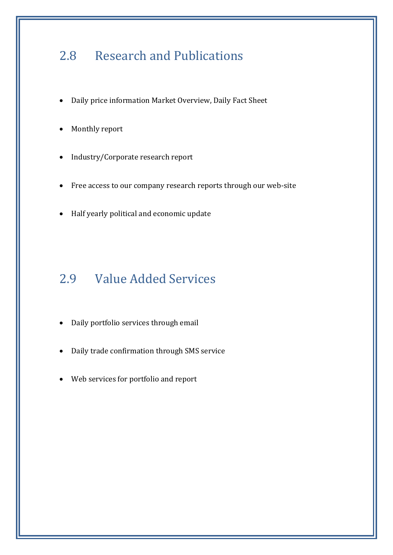# 2.8 Research and Publications

- Daily price information Market Overview, Daily Fact Sheet
- Monthly report
- Industry/Corporate research report
- Free access to our company research reports through our web-site
- Half yearly political and economic update

# 2.9 Value Added Services

- Daily portfolio services through email
- Daily trade confirmation through SMS service
- Web services for portfolio and report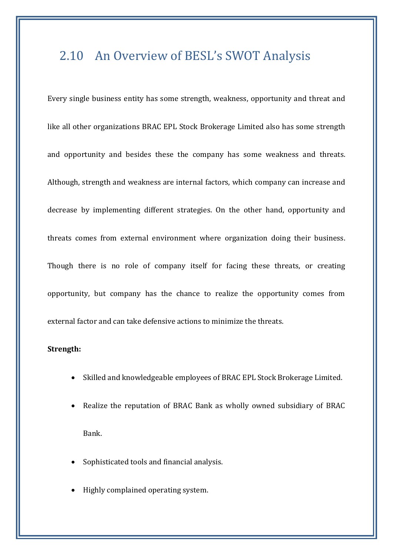# 2.10 An Overview of BESL's SWOT Analysis

Every single business entity has some strength, weakness, opportunity and threat and like all other organizations BRAC EPL Stock Brokerage Limited also has some strength and opportunity and besides these the company has some weakness and threats. Although, strength and weakness are internal factors, which company can increase and decrease by implementing different strategies. On the other hand, opportunity and threats comes from external environment where organization doing their business. Though there is no role of company itself for facing these threats, or creating opportunity, but company has the chance to realize the opportunity comes from external factor and can take defensive actions to minimize the threats.

#### **Strength:**

- Skilled and knowledgeable employees of BRAC EPL Stock Brokerage Limited.
- Realize the reputation of BRAC Bank as wholly owned subsidiary of BRAC Bank.
- Sophisticated tools and financial analysis.
- Highly complained operating system.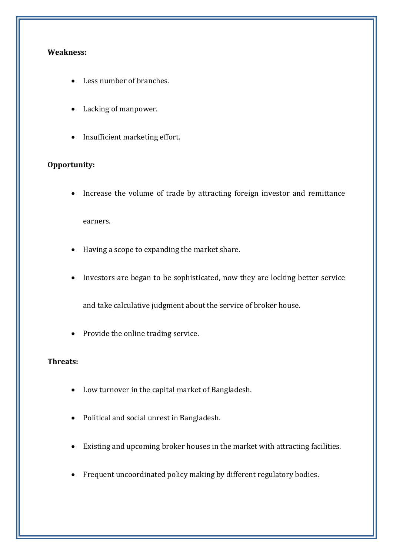#### **Weakness:**

- Less number of branches.
- Lacking of manpower.
- Insufficient marketing effort.

#### **Opportunity:**

Increase the volume of trade by attracting foreign investor and remittance

earners.

- Having a scope to expanding the market share.
- Investors are began to be sophisticated, now they are locking better service

and take calculative judgment about the service of broker house.

Provide the online trading service.

#### **Threats:**

- Low turnover in the capital market of Bangladesh.
- Political and social unrest in Bangladesh.
- Existing and upcoming broker houses in the market with attracting facilities.
- Frequent uncoordinated policy making by different regulatory bodies.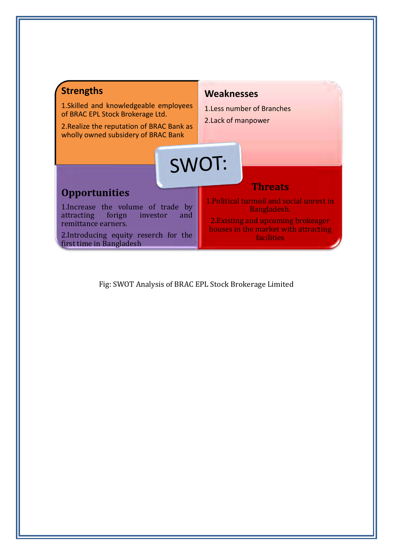

Fig: SWOT Analysis of BRAC EPL Stock Brokerage Limited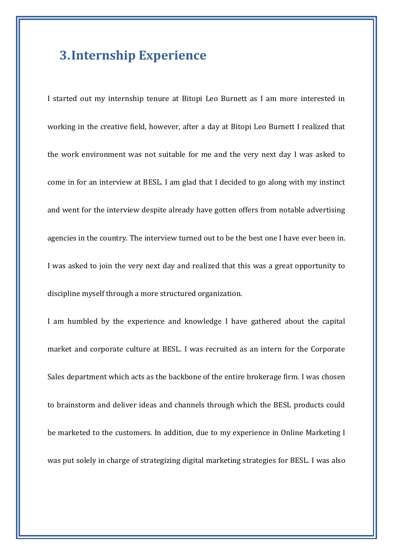### **3.Internship Experience**

I started out my internship tenure at Bitopi Leo Burnett as I am more interested in working in the creative field, however, after a day at Bitopi Leo Burnett I realized that the work environment was not suitable for me and the very next day I was asked to come in for an interview at BESL. I am glad that I decided to go along with my instinct and went for the interview despite already have gotten offers from notable advertising agencies in the country. The interview turned out to be the best one I have ever been in. I was asked to join the very next day and realized that this was a great opportunity to discipline myself through a more structured organization.

I am humbled by the experience and knowledge I have gathered about the capital market and corporate culture at BESL. I was recruited as an intern for the Corporate Sales department which acts as the backbone of the entire brokerage firm. I was chosen to brainstorm and deliver ideas and channels through which the BESL products could be marketed to the customers. In addition, due to my experience in Online Marketing I was put solely in charge of strategizing digital marketing strategies for BESL. I was also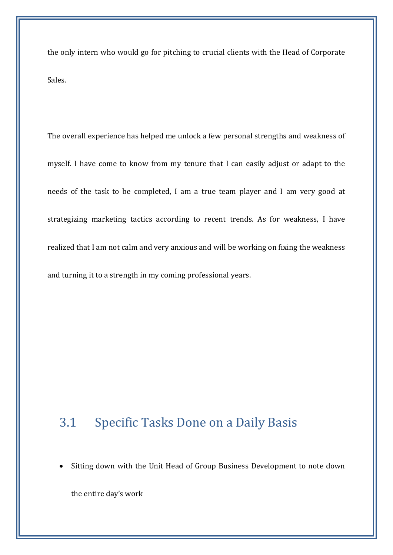the only intern who would go for pitching to crucial clients with the Head of Corporate Sales.

The overall experience has helped me unlock a few personal strengths and weakness of myself. I have come to know from my tenure that I can easily adjust or adapt to the needs of the task to be completed, I am a true team player and I am very good at strategizing marketing tactics according to recent trends. As for weakness, I have realized that I am not calm and very anxious and will be working on fixing the weakness and turning it to a strength in my coming professional years.

### 3.1 Specific Tasks Done on a Daily Basis

• Sitting down with the Unit Head of Group Business Development to note down

the entire day's work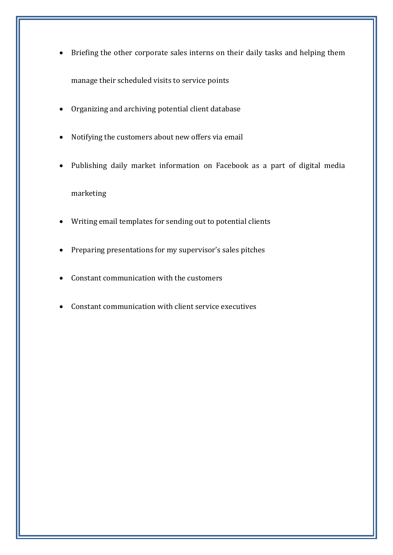- Briefing the other corporate sales interns on their daily tasks and helping them manage their scheduled visits to service points
- Organizing and archiving potential client database
- Notifying the customers about new offers via email
- Publishing daily market information on Facebook as a part of digital media

#### marketing

- Writing email templates for sending out to potential clients
- Preparing presentations for my supervisor's sales pitches
- Constant communication with the customers
- Constant communication with client service executives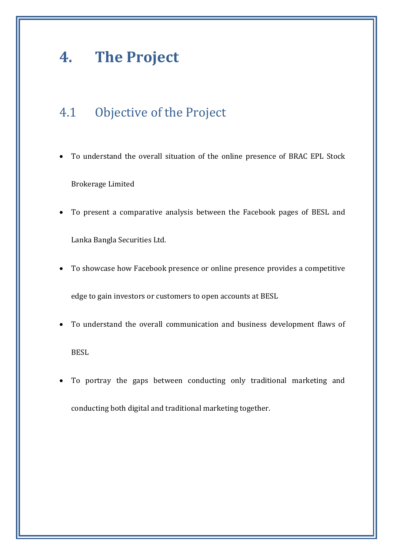# **4. The Project**

# 4.1 Objective of the Project

- To understand the overall situation of the online presence of BRAC EPL Stock Brokerage Limited
- To present a comparative analysis between the Facebook pages of BESL and Lanka Bangla Securities Ltd.
- To showcase how Facebook presence or online presence provides a competitive edge to gain investors or customers to open accounts at BESL
- To understand the overall communication and business development flaws of **BESL**
- To portray the gaps between conducting only traditional marketing and conducting both digital and traditional marketing together.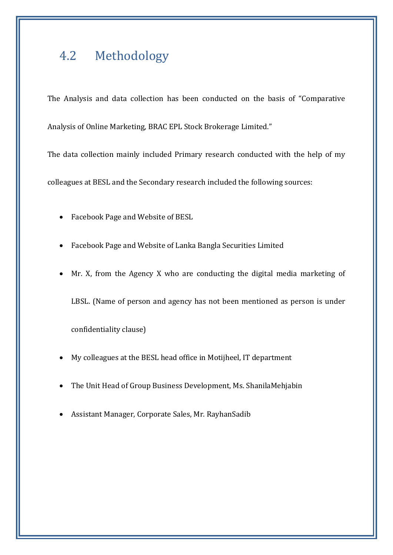## 4.2 Methodology

The Analysis and data collection has been conducted on the basis of "Comparative Analysis of Online Marketing, BRAC EPL Stock Brokerage Limited."

The data collection mainly included Primary research conducted with the help of my

colleagues at BESL and the Secondary research included the following sources:

- Facebook Page and Website of BESL
- Facebook Page and Website of Lanka Bangla Securities Limited
- Mr. X, from the Agency X who are conducting the digital media marketing of

LBSL. (Name of person and agency has not been mentioned as person is under

confidentiality clause)

- My colleagues at the BESL head office in Motijheel, IT department
- The Unit Head of Group Business Development, Ms. ShanilaMehjabin
- Assistant Manager, Corporate Sales, Mr. RayhanSadib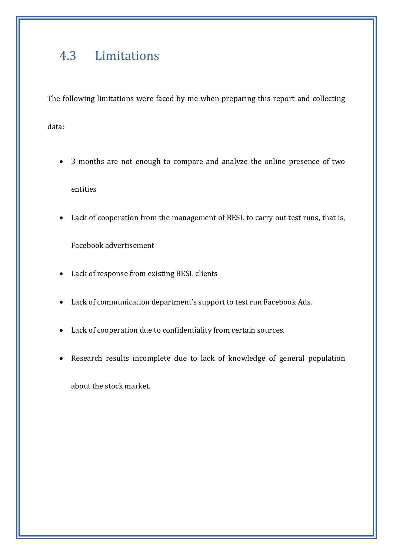# 4.3 Limitations

The following limitations were faced by me when preparing this report and collecting

data:

- 3 months are not enough to compare and analyze the online presence of two entities
- Lack of cooperation from the management of BESL to carry out test runs, that is,

Facebook advertisement

- Lack of response from existing BESL clients
- Lack of communication department's support to test run Facebook Ads.
- Lack of cooperation due to confidentiality from certain sources.
- Research results incomplete due to lack of knowledge of general population

about the stock market.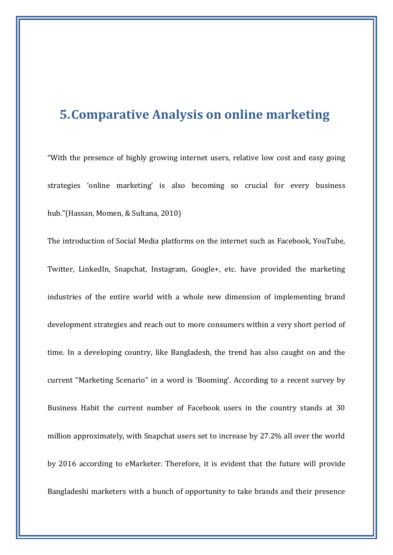### **5.Comparative Analysis on online marketing**

"With the presence of highly growing internet users, relative low cost and easy going strategies 'online marketing' is also becoming so crucial for every business hub."(Hassan, Momen, & Sultana, 2010)

The introduction of Social Media platforms on the internet such as Facebook, YouTube, Twitter, LinkedIn, Snapchat, Instagram, Google+, etc. have provided the marketing industries of the entire world with a whole new dimension of implementing brand development strategies and reach out to more consumers within a very short period of time. In a developing country, like Bangladesh, the trend has also caught on and the current "Marketing Scenario" in a word is 'Booming'. According to a recent survey by Business Habit the current number of Facebook users in the country stands at 30 million approximately, with Snapchat users set to increase by 27.2% all over the world by 2016 according to eMarketer. Therefore, it is evident that the future will provide Bangladeshi marketers with a bunch of opportunity to take brands and their presence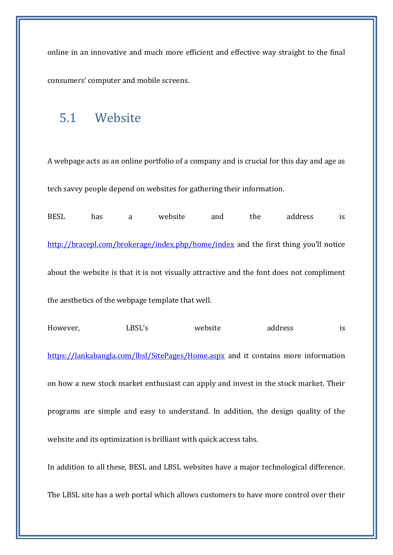online in an innovative and much more efficient and effective way straight to the final consumers' computer and mobile screens.

### 5.1 Website

A webpage acts as an online portfolio of a company and is crucial for this day and age as tech savvy people depend on websites for gathering their information.

BESL has a website and the address is <http://bracepl.com/brokerage/index.php/home/index> and the first thing you'll notice about the website is that it is not visually attractive and the font does not compliment the aesthetics of the webpage template that well. However, LBSL's website address is <https://lankabangla.com/lbsl/SitePages/Home.aspx>and it contains more information on how a new stock market enthusiast can apply and invest in the stock market. Their programs are simple and easy to understand. In addition, the design quality of the website and its optimization is brilliant with quick access tabs. In addition to all these, BESL and LBSL websites have a major technological difference. The LBSL site has a web portal which allows customers to have more control over their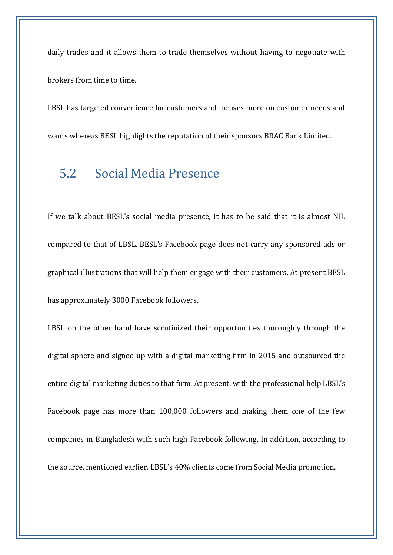daily trades and it allows them to trade themselves without having to negotiate with brokers from time to time.

LBSL has targeted convenience for customers and focuses more on customer needs and wants whereas BESL highlights the reputation of their sponsors BRAC Bank Limited.

### 5.2 Social Media Presence

If we talk about BESL's social media presence, it has to be said that it is almost NIL compared to that of LBSL. BESL's Facebook page does not carry any sponsored ads or graphical illustrations that will help them engage with their customers. At present BESL has approximately 3000 Facebook followers.

LBSL on the other hand have scrutinized their opportunities thoroughly through the digital sphere and signed up with a digital marketing firm in 2015 and outsourced the entire digital marketing duties to that firm. At present, with the professional help LBSL's Facebook page has more than 100,000 followers and making them one of the few companies in Bangladesh with such high Facebook following, In addition, according to the source, mentioned earlier, LBSL's 40% clients come from Social Media promotion.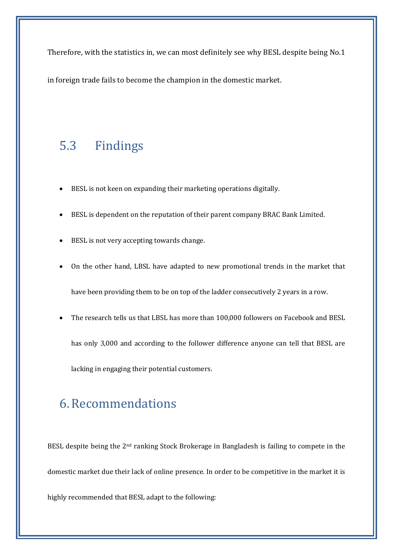Therefore, with the statistics in, we can most definitely see why BESL despite being No.1

in foreign trade fails to become the champion in the domestic market.

### 5.3 Findings

- BESL is not keen on expanding their marketing operations digitally.
- BESL is dependent on the reputation of their parent company BRAC Bank Limited.
- BESL is not very accepting towards change.
- On the other hand, LBSL have adapted to new promotional trends in the market that have been providing them to be on top of the ladder consecutively 2 years in a row.
- The research tells us that LBSL has more than 100,000 followers on Facebook and BESL has only 3,000 and according to the follower difference anyone can tell that BESL are lacking in engaging their potential customers.

### 6.Recommendations

BESL despite being the 2<sup>nd</sup> ranking Stock Brokerage in Bangladesh is failing to compete in the domestic market due their lack of online presence. In order to be competitive in the market it is highly recommended that BESL adapt to the following: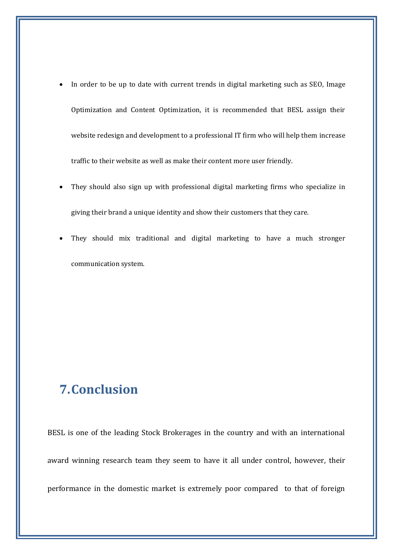- In order to be up to date with current trends in digital marketing such as SEO, Image Optimization and Content Optimization, it is recommended that BESL assign their website redesign and development to a professional IT firm who will help them increase traffic to their website as well as make their content more user friendly.
- They should also sign up with professional digital marketing firms who specialize in giving their brand a unique identity and show their customers that they care.
- They should mix traditional and digital marketing to have a much stronger communication system.

# **7.Conclusion**

BESL is one of the leading Stock Brokerages in the country and with an international award winning research team they seem to have it all under control, however, their performance in the domestic market is extremely poor compared to that of foreign